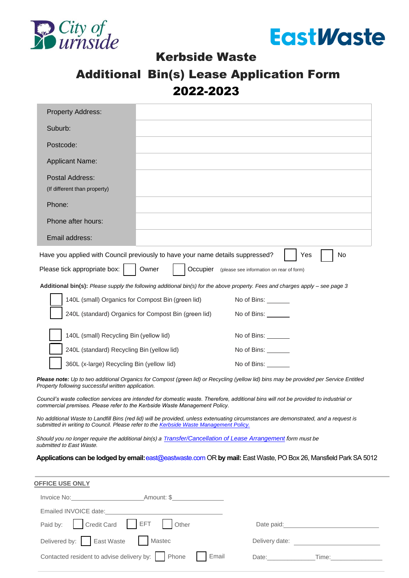



### Kerbside Waste

## Additional Bin(s) Lease Application Form 2022-2023

| <b>Property Address:</b>                                                                                                                                                                                                       |                                                      |                                                                                                                                                                                                                                      |    |
|--------------------------------------------------------------------------------------------------------------------------------------------------------------------------------------------------------------------------------|------------------------------------------------------|--------------------------------------------------------------------------------------------------------------------------------------------------------------------------------------------------------------------------------------|----|
| Suburb:                                                                                                                                                                                                                        |                                                      |                                                                                                                                                                                                                                      |    |
| Postcode:                                                                                                                                                                                                                      |                                                      |                                                                                                                                                                                                                                      |    |
| <b>Applicant Name:</b>                                                                                                                                                                                                         |                                                      |                                                                                                                                                                                                                                      |    |
| Postal Address:<br>(If different than property)                                                                                                                                                                                |                                                      |                                                                                                                                                                                                                                      |    |
| Phone:                                                                                                                                                                                                                         |                                                      |                                                                                                                                                                                                                                      |    |
| Phone after hours:                                                                                                                                                                                                             |                                                      |                                                                                                                                                                                                                                      |    |
| Email address:                                                                                                                                                                                                                 |                                                      |                                                                                                                                                                                                                                      |    |
| Have you applied with Council previously to have your name details suppressed?                                                                                                                                                 |                                                      | Yes                                                                                                                                                                                                                                  | No |
| Please tick appropriate box:                                                                                                                                                                                                   | Owner                                                | Occupier (please see information on rear of form)                                                                                                                                                                                    |    |
| Additional bin(s): Please supply the following additional bin(s) for the above property. Fees and charges apply – see page 3                                                                                                   |                                                      |                                                                                                                                                                                                                                      |    |
| 140L (small) Organics for Compost Bin (green lid)                                                                                                                                                                              |                                                      | No of Bins:                                                                                                                                                                                                                          |    |
|                                                                                                                                                                                                                                | 240L (standard) Organics for Compost Bin (green lid) | No of Bins:                                                                                                                                                                                                                          |    |
| 140L (small) Recycling Bin (yellow lid)                                                                                                                                                                                        |                                                      | No of Bins: _______                                                                                                                                                                                                                  |    |
| 240L (standard) Recycling Bin (yellow lid)                                                                                                                                                                                     |                                                      | No of Bins: ________                                                                                                                                                                                                                 |    |
| 360L (x-large) Recycling Bin (yellow lid)                                                                                                                                                                                      |                                                      | No of Bins:                                                                                                                                                                                                                          |    |
| Please note: Up to two additional Organics for Compost (green lid) or Recycling (yellow lid) bins may be provided per Service Entitled                                                                                         |                                                      |                                                                                                                                                                                                                                      |    |
| Property following successful written application.                                                                                                                                                                             |                                                      |                                                                                                                                                                                                                                      |    |
| Council's waste collection services are intended for domestic waste. Therefore, additional bins will not be provided to industrial or<br>commercial premises. Please refer to the Kerbside Waste Management Policy.            |                                                      |                                                                                                                                                                                                                                      |    |
| No additional Waste to Landfill Bins (red lid) will be provided, unless extenuating circumstances are demonstrated, and a request is<br>submitted in writing to Council. Please refer to the Kerbside Waste Management Policy. |                                                      |                                                                                                                                                                                                                                      |    |
| Should you no longer require the additional bin(s) a Transfer/Cancellation of Lease Arrangement form must be<br>submitted to East Waste.                                                                                       |                                                      |                                                                                                                                                                                                                                      |    |
| Applications can be lodged by email: east@eastwaste.com OR by mail: East Waste, PO Box 26, Mansfield Park SA 5012                                                                                                              |                                                      |                                                                                                                                                                                                                                      |    |
|                                                                                                                                                                                                                                |                                                      |                                                                                                                                                                                                                                      |    |
| <b>OFFICE USE ONLY</b>                                                                                                                                                                                                         |                                                      |                                                                                                                                                                                                                                      |    |
|                                                                                                                                                                                                                                |                                                      |                                                                                                                                                                                                                                      |    |
|                                                                                                                                                                                                                                |                                                      |                                                                                                                                                                                                                                      |    |
| Paid by:   Credit Card   EFT                                                                                                                                                                                                   | Other                                                | Date paid: <u>contract and a series of the series of the series of the series of the series of the series of the series of the series of the series of the series of the series of the series of the series of the series of the</u> |    |
| Delivered by: East Waste                                                                                                                                                                                                       | Mastec                                               | Delivery date:                                                                                                                                                                                                                       |    |

Date:\_\_\_\_\_\_\_\_\_\_\_\_\_\_Time:\_\_\_\_\_\_\_\_\_\_\_\_\_\_\_

Contacted resident to advise delivery by: Phone Famail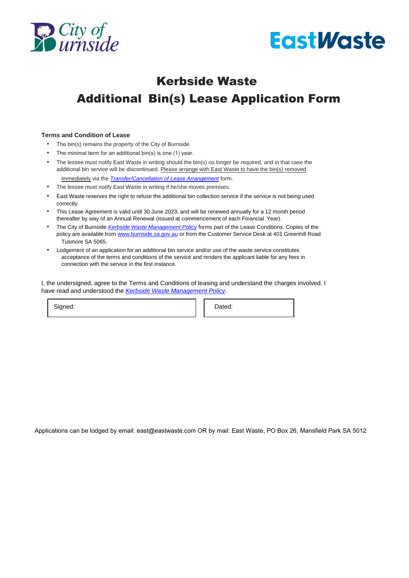



# Kerbside Waste Additional Bin(s) Lease Application Form

#### **Terms and Condition of Lease**

- The bin(s) remains the property of the City of Burnside.
- The minimal term for an additional bin(s) is one (1) year.
- The lessee must notify East Waste in writing should the bin(s) no longer be required, and in that case the additional bin service [will be discontinued. Please arrange with Eas](https://www.eastwaste.com.au/transfer-or-cancellation-of-bin-lease-cob-website-fillable-2/)t Waste to have the bin(s) removed immediately via the *[Transfer/Cancellation of Lease Arrangement](https://www.eastwaste.com.au/wp-content/uploads/2022/06/Transfer-of-Cancellation-of-Additional-Bins-CoB-2022.pdf)* form.
- The lessee must notify East Waste in writing if he/she moves premises.
- East Waste reserves the right to refuse the additional bin collection service if the service is not being used correctly.
- This Lease Agreement is valid until 30 June 2023, and will be renewed annually for a 12 month period thereafter by way of an Annual Renewal (issued at commencement of each Financial Year).
- The City of Burnside *[Kerbside Waste Management Policy](https://www.burnside.sa.gov.au/files/sharedassets/public/ecm-documentsexternal-website/policies/document16.pdf)* forms part of the Lease Conditions. Copies of the policy are available from [www.burnside.sa.gov.au](http://www.burnside.sa.gov.au/) or from the Customer Service Desk at 401 Greenhill Road Tusmore SA 5065.
- Lodgement of an application for an additional bin service and/or use of the waste service constitutes acceptance of the terms and conditions of the service and renders the applicant liable for any fees in connection with the service in the first instance.

I, the undersigned, agree to the Terms and Conditions of leasing and understand the charges involved. I have read and understood the *[Kerbside Waste Management Policy](https://www.burnside.sa.gov.au/files/sharedassets/public/ecm-documentsexternal-website/policies/document16.pdf)*.

Signed: **Dated:** Dated:

Applications can be lodged by email: [east@eastwaste.com O](mailto:east@eastwaste.com)R by mail: East Waste, PO Box 26, Mansfield Park SA 5012